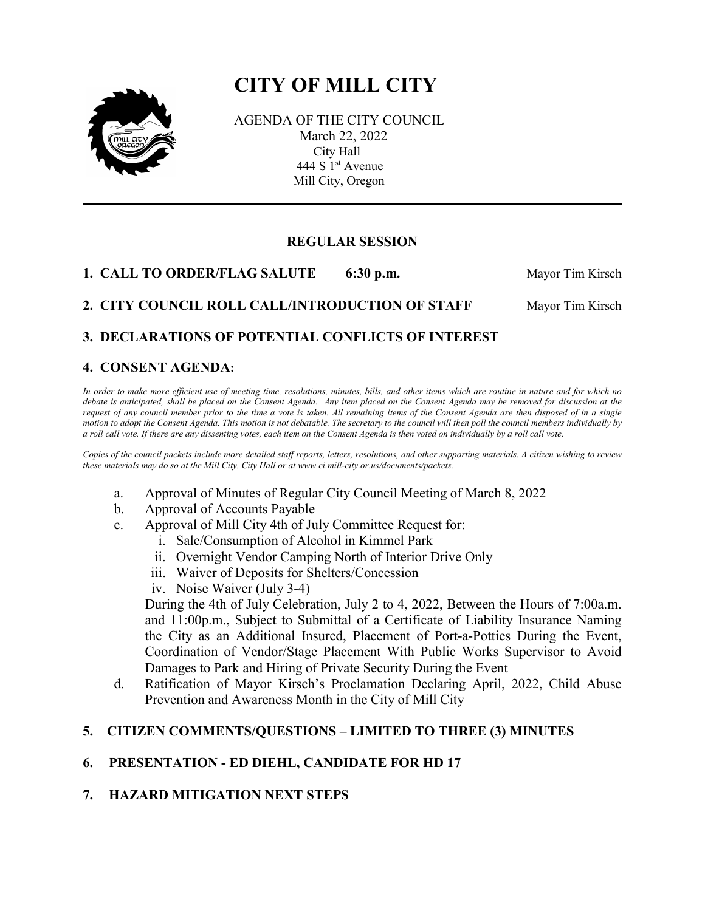# **CITY OF MILL CITY**



 AGENDA OF THE CITY COUNCIL March 22, 2022 City Hall 444 S 1<sup>st</sup> Avenue Mill City, Oregon

### **REGULAR SESSION**

**1. CALL TO ORDER/FLAG SALUTE** 6:30 p.m. Mayor Tim Kirsch

#### **2. CITY COUNCIL ROLL CALL/INTRODUCTION OF STAFF Mayor Tim Kirsch**

### **3. DECLARATIONS OF POTENTIAL CONFLICTS OF INTEREST**

#### **4. CONSENT AGENDA:**

*In order to make more efficient use of meeting time, resolutions, minutes, bills, and other items which are routine in nature and for which no debate is anticipated, shall be placed on the Consent Agenda. Any item placed on the Consent Agenda may be removed for discussion at the request of any council member prior to the time a vote is taken. All remaining items of the Consent Agenda are then disposed of in a single motion to adopt the Consent Agenda. This motion is not debatable. The secretary to the council will then poll the council members individually by a roll call vote. If there are any dissenting votes, each item on the Consent Agenda is then voted on individually by a roll call vote.*

*Copies of the council packets include more detailed staff reports, letters, resolutions, and other supporting materials. A citizen wishing to review these materials may do so at the Mill City, City Hall or at www.ci.mill-city.or.us/documents/packets.*

- a. Approval of Minutes of Regular City Council Meeting of March 8, 2022
- b. Approval of Accounts Payable
- c. Approval of Mill City 4th of July Committee Request for:
	- i. Sale/Consumption of Alcohol in Kimmel Park
	- ii. Overnight Vendor Camping North of Interior Drive Only
	- iii. Waiver of Deposits for Shelters/Concession
	- iv. Noise Waiver (July 3-4)

During the 4th of July Celebration, July 2 to 4, 2022, Between the Hours of 7:00a.m. and 11:00p.m., Subject to Submittal of a Certificate of Liability Insurance Naming the City as an Additional Insured, Placement of Port-a-Potties During the Event, Coordination of Vendor/Stage Placement With Public Works Supervisor to Avoid Damages to Park and Hiring of Private Security During the Event

d. Ratification of Mayor Kirsch's Proclamation Declaring April, 2022, Child Abuse Prevention and Awareness Month in the City of Mill City

#### **5. CITIZEN COMMENTS/QUESTIONS – LIMITED TO THREE (3) MINUTES**

#### **6. PRESENTATION - ED DIEHL, CANDIDATE FOR HD 17**

#### **7. HAZARD MITIGATION NEXT STEPS**